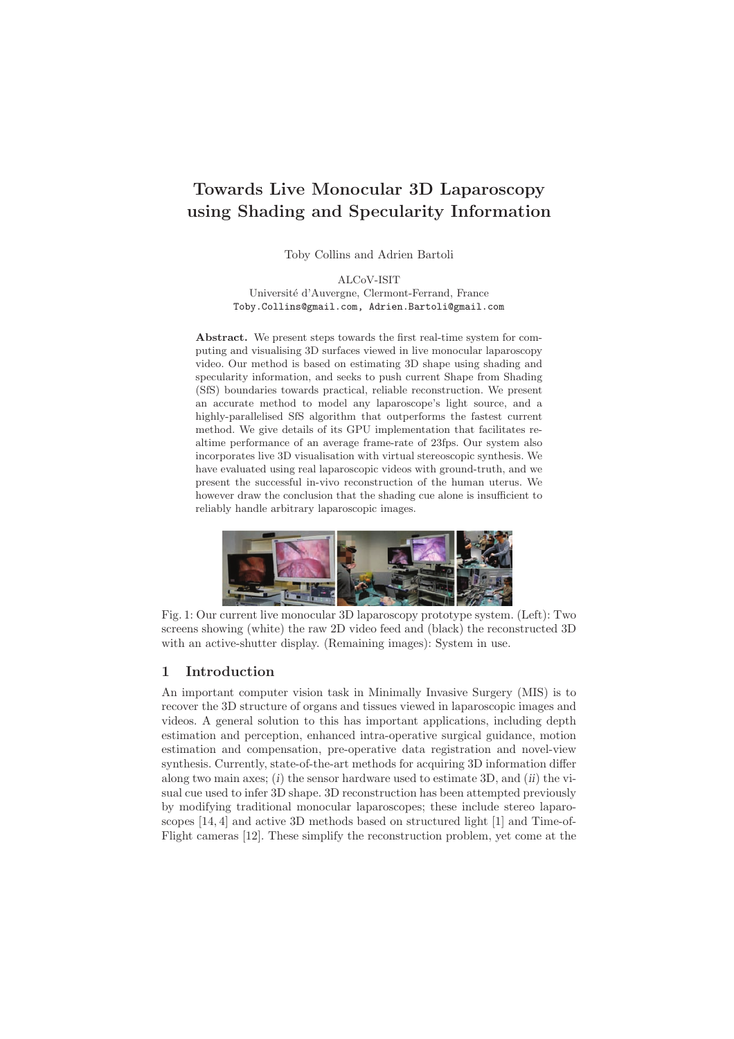# Towards Live Monocular 3D Laparoscopy using Shading and Specularity Information

Toby Collins and Adrien Bartoli

ALCoV-ISIT Université d'Auvergne, Clermont-Ferrand, France Toby.Collins@gmail.com, Adrien.Bartoli@gmail.com

Abstract. We present steps towards the first real-time system for computing and visualising 3D surfaces viewed in live monocular laparoscopy video. Our method is based on estimating 3D shape using shading and specularity information, and seeks to push current Shape from Shading (SfS) boundaries towards practical, reliable reconstruction. We present an accurate method to model any laparoscope's light source, and a highly-parallelised SfS algorithm that outperforms the fastest current method. We give details of its GPU implementation that facilitates realtime performance of an average frame-rate of 23fps. Our system also incorporates live 3D visualisation with virtual stereoscopic synthesis. We have evaluated using real laparoscopic videos with ground-truth, and we present the successful in-vivo reconstruction of the human uterus. We however draw the conclusion that the shading cue alone is insufficient to reliably handle arbitrary laparoscopic images.



Fig. 1: Our current live monocular 3D laparoscopy prototype system. (Left): Two screens showing (white) the raw 2D video feed and (black) the reconstructed 3D with an active-shutter display. (Remaining images): System in use.

## 1 Introduction

An important computer vision task in Minimally Invasive Surgery (MIS) is to recover the 3D structure of organs and tissues viewed in laparoscopic images and videos. A general solution to this has important applications, including depth estimation and perception, enhanced intra-operative surgical guidance, motion estimation and compensation, pre-operative data registration and novel-view synthesis. Currently, state-of-the-art methods for acquiring 3D information differ along two main axes;  $(i)$  the sensor hardware used to estimate 3D, and  $(ii)$  the visual cue used to infer 3D shape. 3D reconstruction has been attempted previously by modifying traditional monocular laparoscopes; these include stereo laparoscopes [14, 4] and active 3D methods based on structured light [1] and Time-of-Flight cameras [12]. These simplify the reconstruction problem, yet come at the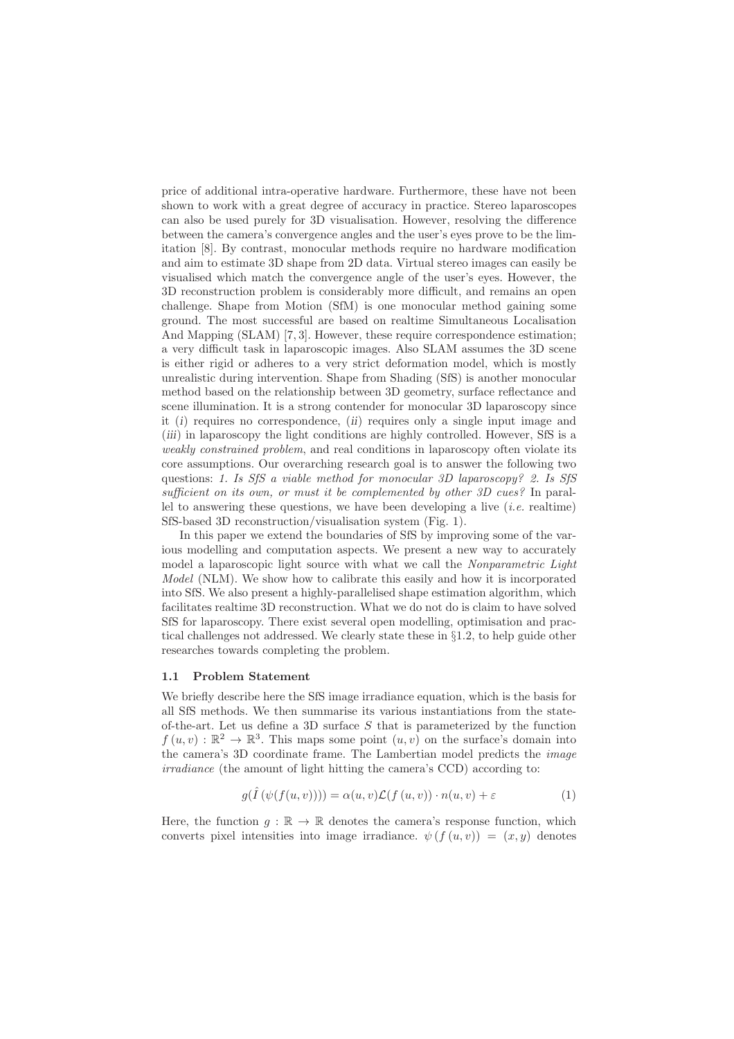price of additional intra-operative hardware. Furthermore, these have not been shown to work with a great degree of accuracy in practice. Stereo laparoscopes can also be used purely for 3D visualisation. However, resolving the difference between the camera's convergence angles and the user's eyes prove to be the limitation [8]. By contrast, monocular methods require no hardware modification and aim to estimate 3D shape from 2D data. Virtual stereo images can easily be visualised which match the convergence angle of the user's eyes. However, the 3D reconstruction problem is considerably more difficult, and remains an open challenge. Shape from Motion (SfM) is one monocular method gaining some ground. The most successful are based on realtime Simultaneous Localisation And Mapping (SLAM) [7, 3]. However, these require correspondence estimation; a very difficult task in laparoscopic images. Also SLAM assumes the 3D scene is either rigid or adheres to a very strict deformation model, which is mostly unrealistic during intervention. Shape from Shading (SfS) is another monocular method based on the relationship between 3D geometry, surface reflectance and scene illumination. It is a strong contender for monocular 3D laparoscopy since it (i) requires no correspondence, (ii) requires only a single input image and (iii) in laparoscopy the light conditions are highly controlled. However, SfS is a weakly constrained problem, and real conditions in laparoscopy often violate its core assumptions. Our overarching research goal is to answer the following two questions: 1. Is SfS a viable method for monocular 3D laparoscopy? 2. Is SfS sufficient on its own, or must it be complemented by other 3D cues? In parallel to answering these questions, we have been developing a live  $(i.e.$  realtime) SfS-based 3D reconstruction/visualisation system (Fig. 1).

In this paper we extend the boundaries of SfS by improving some of the various modelling and computation aspects. We present a new way to accurately model a laparoscopic light source with what we call the Nonparametric Light Model (NLM). We show how to calibrate this easily and how it is incorporated into SfS. We also present a highly-parallelised shape estimation algorithm, which facilitates realtime 3D reconstruction. What we do not do is claim to have solved SfS for laparoscopy. There exist several open modelling, optimisation and practical challenges not addressed. We clearly state these in §1.2, to help guide other researches towards completing the problem.

#### 1.1 Problem Statement

We briefly describe here the SfS image irradiance equation, which is the basis for all SfS methods. We then summarise its various instantiations from the stateof-the-art. Let us define a 3D surface  $S$  that is parameterized by the function  $f(u, v) : \mathbb{R}^2 \to \mathbb{R}^3$ . This maps some point  $(u, v)$  on the surface's domain into the camera's 3D coordinate frame. The Lambertian model predicts the image irradiance (the amount of light hitting the camera's CCD) according to:

$$
g(\hat{I}(\psi(f(u,v)))) = \alpha(u,v)\mathcal{L}(f(u,v)) \cdot n(u,v) + \varepsilon
$$
\n(1)

Here, the function  $g : \mathbb{R} \to \mathbb{R}$  denotes the camera's response function, which converts pixel intensities into image irradiance.  $\psi(f(u, v)) = (x, y)$  denotes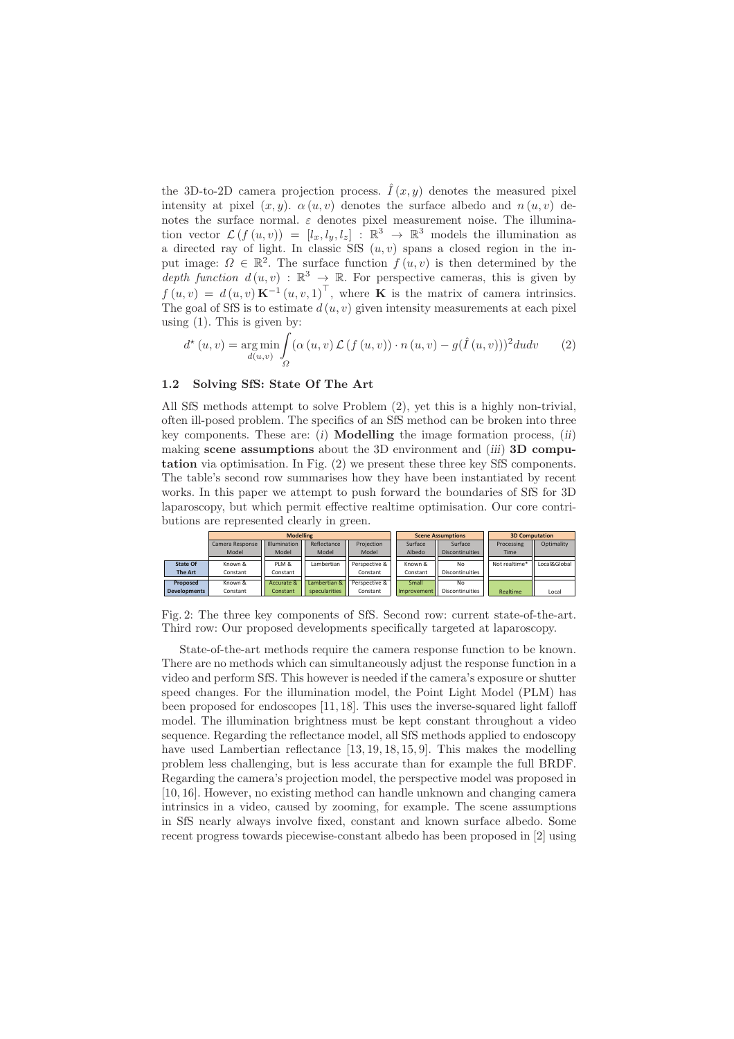the 3D-to-2D camera projection process.  $\hat{I}(x, y)$  denotes the measured pixel intensity at pixel  $(x, y)$ .  $\alpha(u, v)$  denotes the surface albedo and  $n(u, v)$  denotes the surface normal.  $\varepsilon$  denotes pixel measurement noise. The illumination vector  $\mathcal{L}(f(u, v)) = [l_x, l_y, l_z] : \mathbb{R}^3 \to \mathbb{R}^3$  models the illumination as a directed ray of light. In classic SfS  $(u, v)$  spans a closed region in the input image:  $\Omega \in \mathbb{R}^2$ . The surface function  $f(u, v)$  is then determined by the depth function  $d(u, v) : \mathbb{R}^3 \to \mathbb{R}$ . For perspective cameras, this is given by  $f(u, v) = d(u, v) \mathbf{K}^{-1}(u, v, 1)^\top$ , where **K** is the matrix of camera intrinsics. The goal of SfS is to estimate  $d(u, v)$  given intensity measurements at each pixel using  $(1)$ . This is given by:

$$
d^{\star}(u,v) = \underset{d(u,v)}{\arg\min} \int_{\Omega} (\alpha(u,v) \mathcal{L}(f(u,v)) \cdot n(u,v) - g(\hat{I}(u,v)))^2 du dv \qquad (2)
$$

#### 1.2 Solving SfS: State Of The Art

All SfS methods attempt to solve Problem (2), yet this is a highly non-trivial, often ill-posed problem. The specifics of an SfS method can be broken into three key components. These are:  $(i)$  **Modelling** the image formation process,  $(ii)$ making scene assumptions about the 3D environment and  $(iii)$  3D computation via optimisation. In Fig. (2) we present these three key SfS components. The table's second row summarises how they have been instantiated by recent works. In this paper we attempt to push forward the boundaries of SfS for 3D laparoscopy, but which permit effective realtime optimisation. Our core contributions are represented clearly in green.



Fig. 2: The three key components of SfS. Second row: current state-of-the-art. Third row: Our proposed developments specifically targeted at laparoscopy.

State-of-the-art methods require the camera response function to be known. There are no methods which can simultaneously adjust the response function in a video and perform SfS. This however is needed if the camera's exposure or shutter speed changes. For the illumination model, the Point Light Model (PLM) has been proposed for endoscopes [11, 18]. This uses the inverse-squared light falloff model. The illumination brightness must be kept constant throughout a video sequence. Regarding the reflectance model, all SfS methods applied to endoscopy have used Lambertian reflectance [13, 19, 18, 15, 9]. This makes the modelling problem less challenging, but is less accurate than for example the full BRDF. Regarding the camera's projection model, the perspective model was proposed in [10, 16]. However, no existing method can handle unknown and changing camera intrinsics in a video, caused by zooming, for example. The scene assumptions in SfS nearly always involve fixed, constant and known surface albedo. Some recent progress towards piecewise-constant albedo has been proposed in [2] using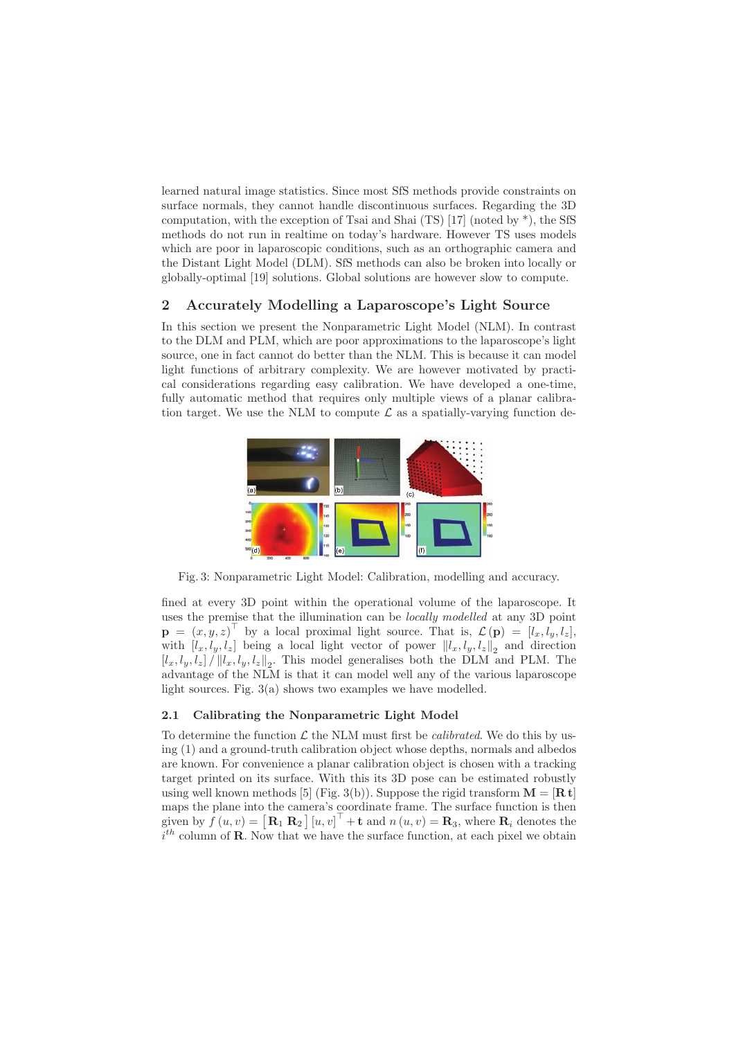learned natural image statistics. Since most SfS methods provide constraints on surface normals, they cannot handle discontinuous surfaces. Regarding the 3D computation, with the exception of Tsai and Shai  $(TS)$  [17] (noted by  $*$ ), the SfS methods do not run in realtime on today's hardware. However TS uses models which are poor in laparoscopic conditions, such as an orthographic camera and the Distant Light Model (DLM). SfS methods can also be broken into locally or globally-optimal [19] solutions. Global solutions are however slow to compute.

## 2 Accurately Modelling a Laparoscope's Light Source

In this section we present the Nonparametric Light Model (NLM). In contrast to the DLM and PLM, which are poor approximations to the laparoscope's light source, one in fact cannot do better than the NLM. This is because it can model light functions of arbitrary complexity. We are however motivated by practical considerations regarding easy calibration. We have developed a one-time, fully automatic method that requires only multiple views of a planar calibration target. We use the NLM to compute  $\mathcal L$  as a spatially-varying function de-



Fig. 3: Nonparametric Light Model: Calibration, modelling and accuracy.

fined at every 3D point within the operational volume of the laparoscope. It uses the premise that the illumination can be locally modelled at any 3D point  $\mathbf{p} = (x, y, z)^{\top}$  by a local proximal light source. That is,  $\mathcal{L}(\mathbf{p}) = [l_x, l_y, l_z],$ with  $[l_x, l_y, l_z]$  being a local light vector of power  $||l_x, l_y, l_z||_2$  and direction  $[l_x, l_y, l_z] / ||l_x, l_y, l_z||_2$ . This model generalises both the DLM and PLM. The advantage of the NLM is that it can model well any of the various laparoscope light sources. Fig. 3(a) shows two examples we have modelled.

#### 2.1 Calibrating the Nonparametric Light Model

To determine the function  $\mathcal L$  the NLM must first be *calibrated*. We do this by using (1) and a ground-truth calibration object whose depths, normals and albedos are known. For convenience a planar calibration object is chosen with a tracking target printed on its surface. With this its 3D pose can be estimated robustly using well known methods [5] (Fig. 3(b)). Suppose the rigid transform  $\mathbf{M} = [\mathbf{R} \mathbf{t}]$ maps the plane into the camera's coordinate frame. The surface function is then given by  $f(u, v) = [\mathbf{R}_1 \ \mathbf{R}_2] [u, v]^\top + \mathbf{t}$  and  $n(u, v) = \mathbf{R}_3$ , where  $\mathbf{R}_i$  denotes the  $i<sup>th</sup>$  column of **R**. Now that we have the surface function, at each pixel we obtain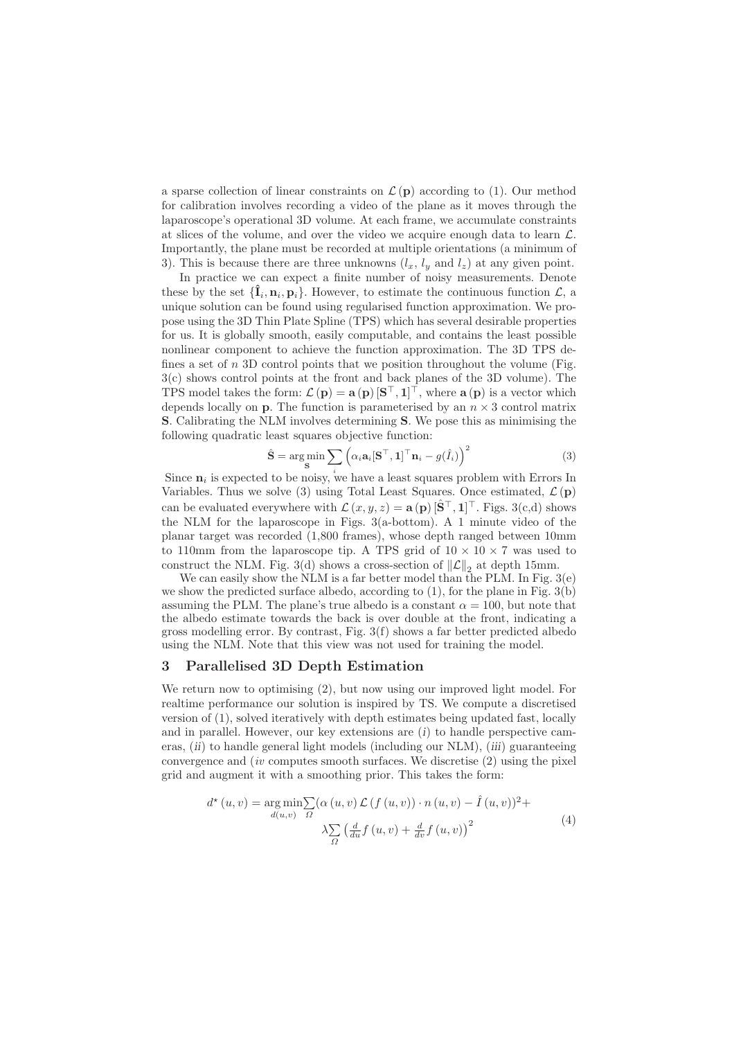a sparse collection of linear constraints on  $\mathcal{L}(\mathbf{p})$  according to (1). Our method for calibration involves recording a video of the plane as it moves through the laparoscope's operational 3D volume. At each frame, we accumulate constraints at slices of the volume, and over the video we acquire enough data to learn  $\mathcal{L}$ . Importantly, the plane must be recorded at multiple orientations (a minimum of 3). This is because there are three unknowns  $(l_x, l_y \text{ and } l_z)$  at any given point.

In practice we can expect a finite number of noisy measurements. Denote these by the set  ${\{\hat{\mathbf{I}}_i, \mathbf{n}_i, \mathbf{p}_i\}}$ . However, to estimate the continuous function  $\mathcal{L}$ , a unique solution can be found using regularised function approximation. We propose using the 3D Thin Plate Spline (TPS) which has several desirable properties for us. It is globally smooth, easily computable, and contains the least possible nonlinear component to achieve the function approximation. The 3D TPS defines a set of  $n$  3D control points that we position throughout the volume (Fig. 3(c) shows control points at the front and back planes of the 3D volume). The TPS model takes the form:  $\mathcal{L}(\mathbf{p}) = \mathbf{a}(\mathbf{p}) \left[\mathbf{S}^\top, \mathbf{1}\right]^\top$ , where  $\mathbf{a}(\mathbf{p})$  is a vector which depends locally on  $p$ . The function is parameterised by an  $n \times 3$  control matrix S. Calibrating the NLM involves determining S. We pose this as minimising the following quadratic least squares objective function:

$$
\hat{\mathbf{S}} = \underset{\mathbf{S}}{\arg\min} \sum_{i} \left( \alpha_i \mathbf{a}_i [\mathbf{S}^\top, \mathbf{1}]^\top \mathbf{n}_i - g(\hat{I}_i) \right)^2 \tag{3}
$$

Since  $n_i$  is expected to be noisy, we have a least squares problem with Errors In Variables. Thus we solve (3) using Total Least Squares. Once estimated,  $\mathcal{L}(\mathbf{p})$ can be evaluated everywhere with  $\mathcal{L}(x, y, z) = \mathbf{a}(\mathbf{p}) \left[\hat{\mathbf{S}}^{\top}, \mathbf{1}\right]^{\top}$ . Figs. 3(c,d) shows the NLM for the laparoscope in Figs. 3(a-bottom). A 1 minute video of the planar target was recorded (1,800 frames), whose depth ranged between 10mm to 110mm from the laparoscope tip. A TPS grid of  $10 \times 10 \times 7$  was used to construct the NLM. Fig. 3(d) shows a cross-section of  $\|\mathcal{L}\|_2$  at depth 15mm.

We can easily show the NLM is a far better model than the PLM. In Fig. 3(e) we show the predicted surface albedo, according to  $(1)$ , for the plane in Fig.  $3(b)$ assuming the PLM. The plane's true albedo is a constant  $\alpha = 100$ , but note that the albedo estimate towards the back is over double at the front, indicating a gross modelling error. By contrast, Fig. 3(f) shows a far better predicted albedo using the NLM. Note that this view was not used for training the model.

#### 3 Parallelised 3D Depth Estimation

We return now to optimising (2), but now using our improved light model. For realtime performance our solution is inspired by TS. We compute a discretised version of (1), solved iteratively with depth estimates being updated fast, locally and in parallel. However, our key extensions are  $(i)$  to handle perspective cameras, *(ii)* to handle general light models *(including our NLM), <i>(iii)* guaranteeing convergence and  $(iv$  computes smooth surfaces. We discretise  $(2)$  using the pixel grid and augment it with a smoothing prior. This takes the form:

$$
d^{\star}(u,v) = \underset{d(u,v)}{\arg\min} \sum_{\Omega} (\alpha(u,v) \mathcal{L}(f(u,v)) \cdot n(u,v) - \hat{I}(u,v))^2 + \lambda \sum_{\Omega} \left(\frac{d}{du} f(u,v) + \frac{d}{dv} f(u,v)\right)^2
$$
\n(4)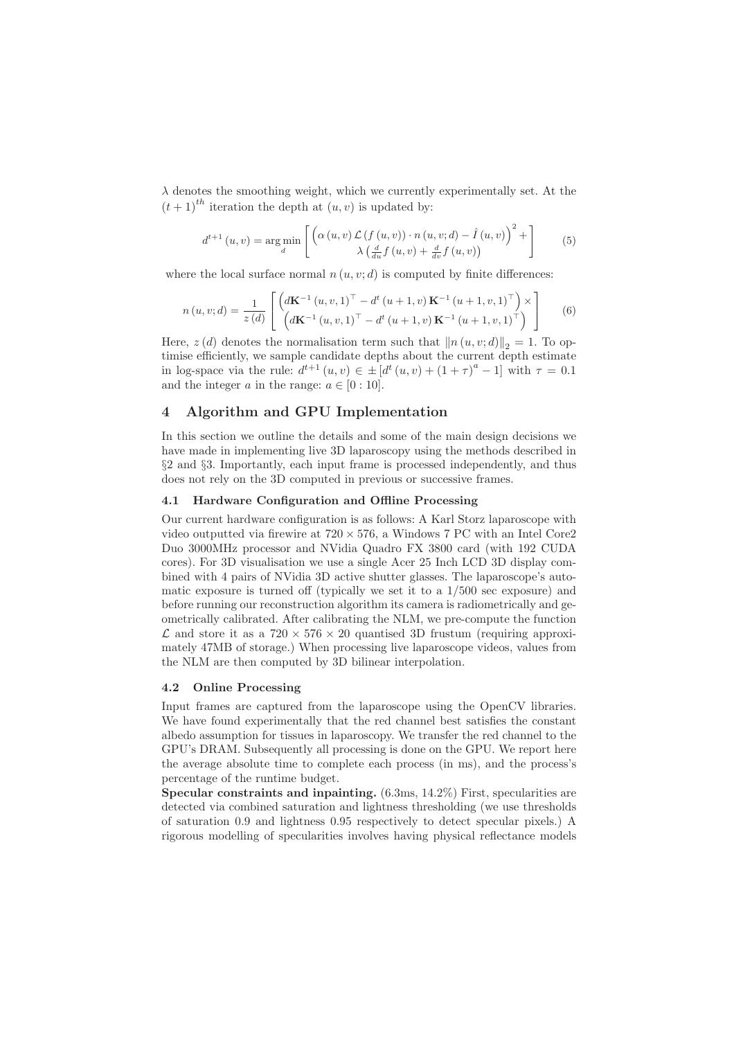$\lambda$  denotes the smoothing weight, which we currently experimentally set. At the  $(t+1)^{th}$  iteration the depth at  $(u, v)$  is updated by:

$$
d^{t+1}(u,v) = \underset{d}{\arg\min} \left[ \left( \alpha(u,v) \mathcal{L} \left( f(u,v) \right) \cdot n(u,v;d) - \hat{I}(u,v) \right)^2 + \right] \tag{5}
$$

where the local surface normal  $n (u, v; d)$  is computed by finite differences:

$$
n(u, v; d) = \frac{1}{z(d)} \left[ \begin{pmatrix} d\mathbf{K}^{-1}(u, v, 1)^{\top} - d^{t}(u + 1, v) \mathbf{K}^{-1}(u + 1, v, 1)^{\top} \\ (d\mathbf{K}^{-1}(u, v, 1)^{\top} - d^{t}(u + 1, v) \mathbf{K}^{-1}(u + 1, v, 1)^{\top} \end{pmatrix} \right]
$$
(6)

Here,  $z(d)$  denotes the normalisation term such that  $||n(u, v; d)||_2 = 1$ . To optimise efficiently, we sample candidate depths about the current depth estimate in log-space via the rule:  $d^{t+1}(u, v) \in \pm [d^t(u, v) + (1 + \tau)^a - 1]$  with  $\tau = 0.1$ and the integer a in the range:  $a \in [0:10]$ .

# 4 Algorithm and GPU Implementation

In this section we outline the details and some of the main design decisions we have made in implementing live 3D laparoscopy using the methods described in §2 and §3. Importantly, each input frame is processed independently, and thus does not rely on the 3D computed in previous or successive frames.

#### 4.1 Hardware Configuration and Offline Processing

Our current hardware configuration is as follows: A Karl Storz laparoscope with video outputted via firewire at  $720 \times 576$ , a Windows 7 PC with an Intel Core2 Duo 3000MHz processor and NVidia Quadro FX 3800 card (with 192 CUDA cores). For 3D visualisation we use a single Acer 25 Inch LCD 3D display combined with 4 pairs of NVidia 3D active shutter glasses. The laparoscope's automatic exposure is turned off (typically we set it to a 1/500 sec exposure) and before running our reconstruction algorithm its camera is radiometrically and geometrically calibrated. After calibrating the NLM, we pre-compute the function  $\mathcal L$  and store it as a  $720 \times 576 \times 20$  quantised 3D frustum (requiring approximately 47MB of storage.) When processing live laparoscope videos, values from the NLM are then computed by 3D bilinear interpolation.

#### 4.2 Online Processing

Input frames are captured from the laparoscope using the OpenCV libraries. We have found experimentally that the red channel best satisfies the constant albedo assumption for tissues in laparoscopy. We transfer the red channel to the GPU's DRAM. Subsequently all processing is done on the GPU. We report here the average absolute time to complete each process (in ms), and the process's percentage of the runtime budget.

Specular constraints and inpainting.  $(6.3 \text{ms}, 14.2\%)$  First, specularities are detected via combined saturation and lightness thresholding (we use thresholds of saturation 0.9 and lightness 0.95 respectively to detect specular pixels.) A rigorous modelling of specularities involves having physical reflectance models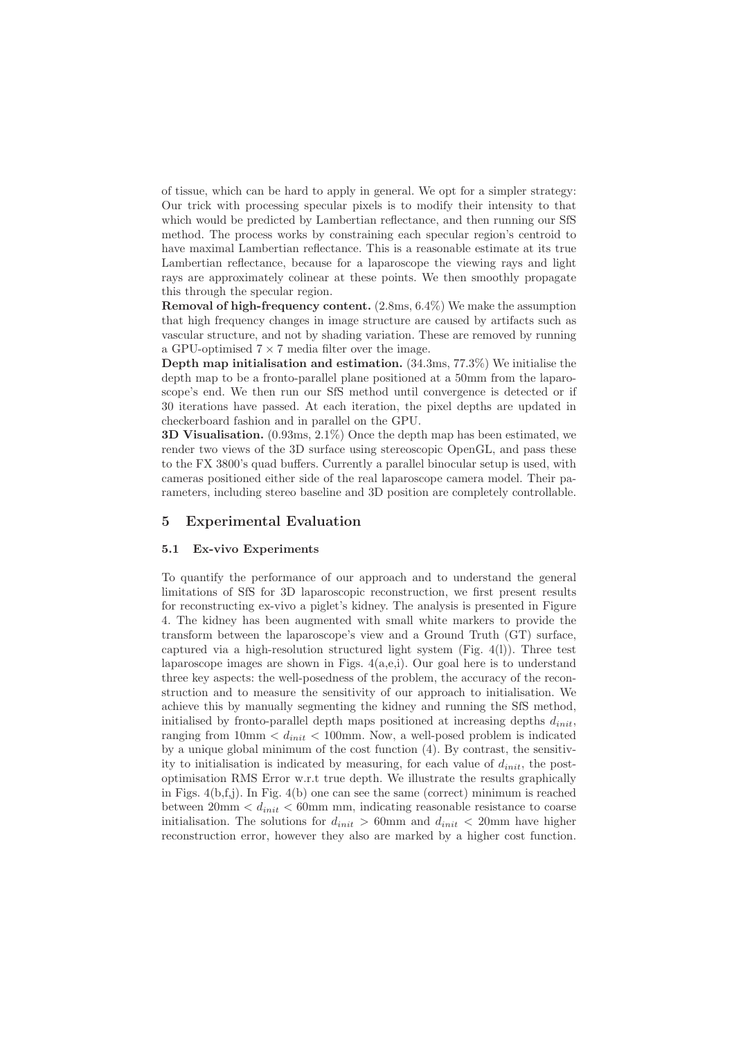of tissue, which can be hard to apply in general. We opt for a simpler strategy: Our trick with processing specular pixels is to modify their intensity to that which would be predicted by Lambertian reflectance, and then running our SfS method. The process works by constraining each specular region's centroid to have maximal Lambertian reflectance. This is a reasonable estimate at its true Lambertian reflectance, because for a laparoscope the viewing rays and light rays are approximately colinear at these points. We then smoothly propagate this through the specular region.

Removal of high-frequency content. (2.8ms, 6.4%) We make the assumption that high frequency changes in image structure are caused by artifacts such as vascular structure, and not by shading variation. These are removed by running a GPU-optimised  $7 \times 7$  media filter over the image.

Depth map initialisation and estimation. (34.3ms, 77.3%) We initialise the depth map to be a fronto-parallel plane positioned at a 50mm from the laparoscope's end. We then run our SfS method until convergence is detected or if 30 iterations have passed. At each iteration, the pixel depths are updated in checkerboard fashion and in parallel on the GPU.

3D Visualisation. (0.93ms, 2.1%) Once the depth map has been estimated, we render two views of the 3D surface using stereoscopic OpenGL, and pass these to the FX 3800's quad buffers. Currently a parallel binocular setup is used, with cameras positioned either side of the real laparoscope camera model. Their parameters, including stereo baseline and 3D position are completely controllable.

#### 5 Experimental Evaluation

#### 5.1 Ex-vivo Experiments

To quantify the performance of our approach and to understand the general limitations of SfS for 3D laparoscopic reconstruction, we first present results for reconstructing ex-vivo a piglet's kidney. The analysis is presented in Figure 4. The kidney has been augmented with small white markers to provide the transform between the laparoscope's view and a Ground Truth (GT) surface, captured via a high-resolution structured light system (Fig.  $4(1)$ ). Three test laparoscope images are shown in Figs.  $4(a,e,i)$ . Our goal here is to understand three key aspects: the well-posedness of the problem, the accuracy of the reconstruction and to measure the sensitivity of our approach to initialisation. We achieve this by manually segmenting the kidney and running the SfS method, initialised by fronto-parallel depth maps positioned at increasing depths  $d_{init}$ , ranging from  $10\text{mm} < d_{init} < 100\text{mm}$ . Now, a well-posed problem is indicated by a unique global minimum of the cost function (4). By contrast, the sensitivity to initialisation is indicated by measuring, for each value of  $d_{init}$ , the postoptimisation RMS Error w.r.t true depth. We illustrate the results graphically in Figs. 4(b,f,j). In Fig. 4(b) one can see the same (correct) minimum is reached between  $20 \text{mm} < d_{init} < 60 \text{mm}$  mm, indicating reasonable resistance to coarse initialisation. The solutions for  $d_{init} > 60$ mm and  $d_{init} < 20$ mm have higher reconstruction error, however they also are marked by a higher cost function.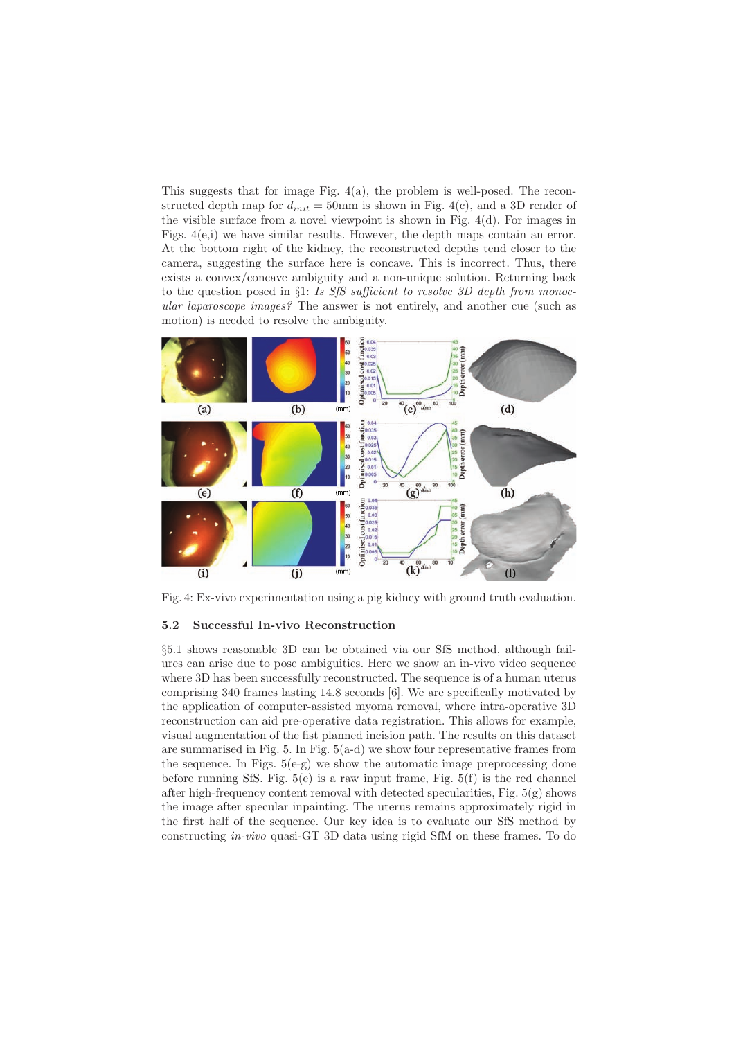This suggests that for image Fig. 4(a), the problem is well-posed. The reconstructed depth map for  $d_{init} = 50$ mm is shown in Fig. 4(c), and a 3D render of the visible surface from a novel viewpoint is shown in Fig. 4(d). For images in Figs. 4(e,i) we have similar results. However, the depth maps contain an error. At the bottom right of the kidney, the reconstructed depths tend closer to the camera, suggesting the surface here is concave. This is incorrect. Thus, there exists a convex/concave ambiguity and a non-unique solution. Returning back to the question posed in §1: Is SfS sufficient to resolve 3D depth from monocular laparoscope images? The answer is not entirely, and another cue (such as motion) is needed to resolve the ambiguity.



Fig. 4: Ex-vivo experimentation using a pig kidney with ground truth evaluation.

#### 5.2 Successful In-vivo Reconstruction

§5.1 shows reasonable 3D can be obtained via our SfS method, although failures can arise due to pose ambiguities. Here we show an in-vivo video sequence where 3D has been successfully reconstructed. The sequence is of a human uterus comprising 340 frames lasting 14.8 seconds [6]. We are specifically motivated by the application of computer-assisted myoma removal, where intra-operative 3D reconstruction can aid pre-operative data registration. This allows for example, visual augmentation of the fist planned incision path. The results on this dataset are summarised in Fig. 5. In Fig.  $5(a-d)$  we show four representative frames from the sequence. In Figs.  $5(e-g)$  we show the automatic image preprocessing done before running SfS. Fig.  $5(e)$  is a raw input frame, Fig.  $5(f)$  is the red channel after high-frequency content removal with detected specularities, Fig.  $5(g)$  shows the image after specular inpainting. The uterus remains approximately rigid in the first half of the sequence. Our key idea is to evaluate our SfS method by constructing in-vivo quasi-GT 3D data using rigid SfM on these frames. To do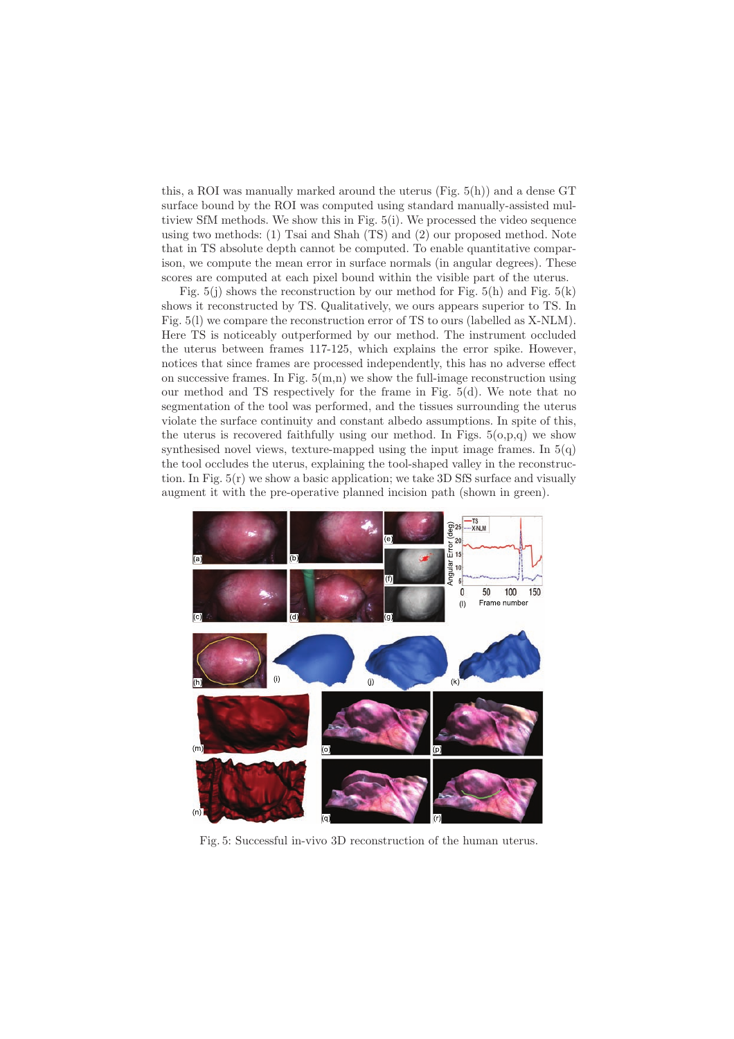this, a ROI was manually marked around the uterus (Fig. 5(h)) and a dense GT surface bound by the ROI was computed using standard manually-assisted multiview SfM methods. We show this in Fig. 5(i). We processed the video sequence using two methods: (1) Tsai and Shah (TS) and (2) our proposed method. Note that in TS absolute depth cannot be computed. To enable quantitative comparison, we compute the mean error in surface normals (in angular degrees). These scores are computed at each pixel bound within the visible part of the uterus.

Fig.  $5(i)$  shows the reconstruction by our method for Fig.  $5(h)$  and Fig.  $5(k)$ shows it reconstructed by TS. Qualitatively, we ours appears superior to TS. In Fig. 5(l) we compare the reconstruction error of TS to ours (labelled as X-NLM). Here TS is noticeably outperformed by our method. The instrument occluded the uterus between frames 117-125, which explains the error spike. However, notices that since frames are processed independently, this has no adverse effect on successive frames. In Fig.  $5(m,n)$  we show the full-image reconstruction using our method and TS respectively for the frame in Fig. 5(d). We note that no segmentation of the tool was performed, and the tissues surrounding the uterus violate the surface continuity and constant albedo assumptions. In spite of this, the uterus is recovered faithfully using our method. In Figs.  $5(o,p,q)$  we show synthesised novel views, texture-mapped using the input image frames. In 5(q) the tool occludes the uterus, explaining the tool-shaped valley in the reconstruction. In Fig. 5(r) we show a basic application; we take 3D SfS surface and visually augment it with the pre-operative planned incision path (shown in green).



Fig. 5: Successful in-vivo 3D reconstruction of the human uterus.